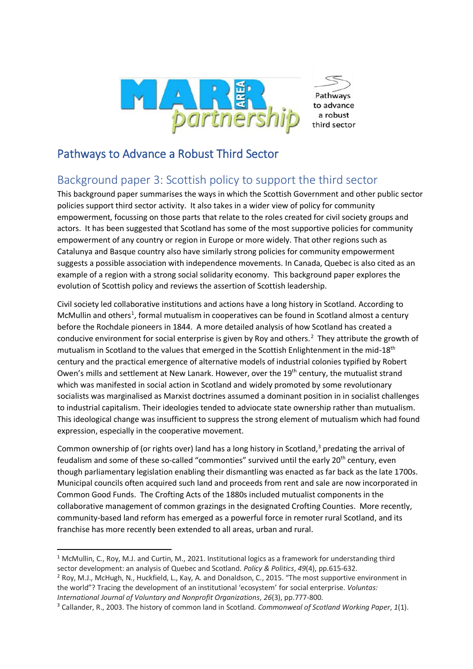

Pathways to advance a robust third sector

## Pathways to Advance a Robust Third Sector

## Background paper 3: Scottish policy to support the third sector

This background paper summarises the ways in which the Scottish Government and other public sector policies support third sector activity. It also takes in a wider view of policy for community empowerment, focussing on those parts that relate to the roles created for civil society groups and actors. It has been suggested that Scotland has some of the most supportive policies for community empowerment of any country or region in Europe or more widely. That other regions such as Catalunya and Basque country also have similarly strong policies for community empowerment suggests a possible association with independence movements. In Canada, Quebec is also cited as an example of a region with a strong social solidarity economy. This background paper explores the evolution of Scottish policy and reviews the assertion of Scottish leadership.

Civil society led collaborative institutions and actions have a long history in Scotland. According to McMullin and others<sup>1</sup>, formal mutualism in cooperatives can be found in Scotland almost a century before the Rochdale pioneers in 1844. A more detailed analysis of how Scotland has created a conducive environment for social enterprise is given by Roy and others.<sup>2</sup> They attribute the growth of mutualism in Scotland to the values that emerged in the Scottish Enlightenment in the mid-18<sup>th</sup> century and the practical emergence of alternative models of industrial colonies typified by Robert Owen's mills and settlement at New Lanark. However, over the 19<sup>th</sup> century, the mutualist strand which was manifested in social action in Scotland and widely promoted by some revolutionary socialists was marginalised as Marxist doctrines assumed a dominant position in in socialist challenges to industrial capitalism. Their ideologies tended to adviocate state ownership rather than mutualism. This ideological change was insufficient to suppress the strong element of mutualism which had found expression, especially in the cooperative movement.

Common ownership of (or rights over) land has a long history in Scotland, $3$  predating the arrival of feudalism and some of these so-called "commonties" survived until the early 20<sup>th</sup> century, even though parliamentary legislation enabling their dismantling was enacted as far back as the late 1700s. Municipal councils often acquired such land and proceeds from rent and sale are now incorporated in Common Good Funds. The Crofting Acts of the 1880s included mutualist components in the collaborative management of common grazings in the designated Crofting Counties. More recently, community-based land reform has emerged as a powerful force in remoter rural Scotland, and its franchise has more recently been extended to all areas, urban and rural.

 $1$  McMullin, C., Roy, M.J. and Curtin, M., 2021. Institutional logics as a framework for understanding third sector development: an analysis of Quebec and Scotland. *Policy & Politics*, *49*(4), pp.615-632.

<sup>2</sup> Roy, M.J., McHugh, N., Huckfield, L., Kay, A. and Donaldson, C., 2015. "The most supportive environment in the world"? Tracing the development of an institutional 'ecosystem' for social enterprise. *Voluntas: International Journal of Voluntary and Nonprofit Organizations*, *26*(3), pp.777-800.

<sup>3</sup> Callander, R., 2003. The history of common land in Scotland. *Commonweal of Scotland Working Paper*, *1*(1).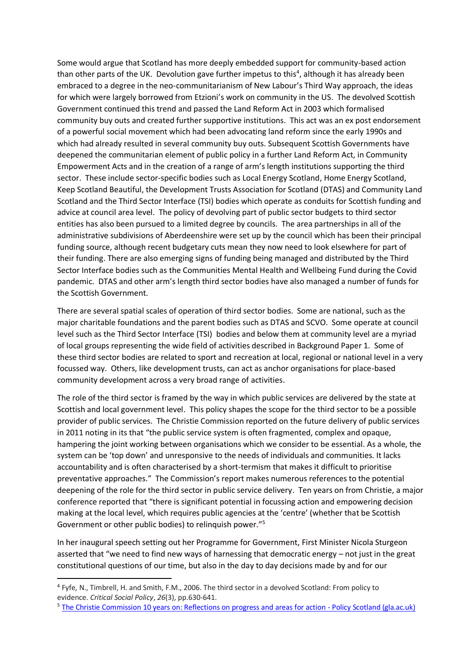Some would argue that Scotland has more deeply embedded support for community-based action than other parts of the UK. Devolution gave further impetus to this<sup>4</sup>, although it has already been embraced to a degree in the neo-communitarianism of New Labour's Third Way approach, the ideas for which were largely borrowed from Etzioni's work on community in the US. The devolved Scottish Government continued this trend and passed the Land Reform Act in 2003 which formalised community buy outs and created further supportive institutions. This act was an ex post endorsement of a powerful social movement which had been advocating land reform since the early 1990s and which had already resulted in several community buy outs. Subsequent Scottish Governments have deepened the communitarian element of public policy in a further Land Reform Act, in Community Empowerment Acts and in the creation of a range of arm's length institutions supporting the third sector. These include sector-specific bodies such as Local Energy Scotland, Home Energy Scotland, Keep Scotland Beautiful, the Development Trusts Association for Scotland (DTAS) and Community Land Scotland and the Third Sector Interface (TSI) bodies which operate as conduits for Scottish funding and advice at council area level. The policy of devolving part of public sector budgets to third sector entities has also been pursued to a limited degree by councils. The area partnerships in all of the administrative subdivisions of Aberdeenshire were set up by the council which has been their principal funding source, although recent budgetary cuts mean they now need to look elsewhere for part of their funding. There are also emerging signs of funding being managed and distributed by the Third Sector Interface bodies such as the Communities Mental Health and Wellbeing Fund during the Covid pandemic. DTAS and other arm's length third sector bodies have also managed a number of funds for the Scottish Government.

There are several spatial scales of operation of third sector bodies. Some are national, such as the major charitable foundations and the parent bodies such as DTAS and SCVO. Some operate at council level such as the Third Sector Interface (TSI) bodies and below them at community level are a myriad of local groups representing the wide field of activities described in Background Paper 1. Some of these third sector bodies are related to sport and recreation at local, regional or national level in a very focussed way. Others, like development trusts, can act as anchor organisations for place-based community development across a very broad range of activities.

The role of the third sector is framed by the way in which public services are delivered by the state at Scottish and local government level. This policy shapes the scope for the third sector to be a possible provider of public services. The Christie Commission reported on the future delivery of public services in 2011 noting in its that "the public service system is often fragmented, complex and opaque, hampering the joint working between organisations which we consider to be essential. As a whole, the system can be 'top down' and unresponsive to the needs of individuals and communities. It lacks accountability and is often characterised by a short-termism that makes it difficult to prioritise preventative approaches." The Commission's report makes numerous references to the potential deepening of the role for the third sector in public service delivery. Ten years on from Christie, a major conference reported that "there is significant potential in focussing action and empowering decision making at the local level, which requires public agencies at the 'centre' (whether that be Scottish Government or other public bodies) to relinquish power."<sup>5</sup>

In her inaugural speech setting out her Programme for Government, First Minister Nicola Sturgeon asserted that "we need to find new ways of harnessing that democratic energy – not just in the great constitutional questions of our time, but also in the day to day decisions made by and for our

<sup>4</sup> Fyfe, N., Timbrell, H. and Smith, F.M., 2006. The third sector in a devolved Scotland: From policy to evidence. *Critical Social Policy*, *26*(3), pp.630-641.

<sup>5</sup> [The Christie Commission 10 years on: Reflections on progress and areas for action -](https://policyscotland.gla.ac.uk/the-christie-commission-10-years-reflections-on-progress/) Policy Scotland (gla.ac.uk)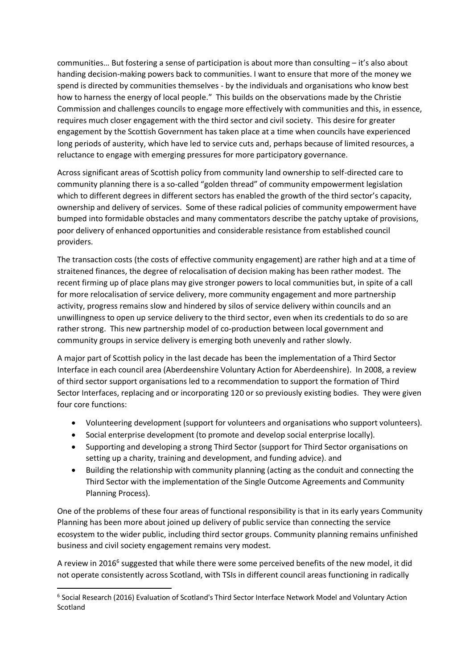communities… But fostering a sense of participation is about more than consulting – it's also about handing decision-making powers back to communities. I want to ensure that more of the money we spend is directed by communities themselves - by the individuals and organisations who know best how to harness the energy of local people." This builds on the observations made by the Christie Commission and challenges councils to engage more effectively with communities and this, in essence, requires much closer engagement with the third sector and civil society. This desire for greater engagement by the Scottish Government has taken place at a time when councils have experienced long periods of austerity, which have led to service cuts and, perhaps because of limited resources, a reluctance to engage with emerging pressures for more participatory governance.

Across significant areas of Scottish policy from community land ownership to self-directed care to community planning there is a so-called "golden thread" of community empowerment legislation which to different degrees in different sectors has enabled the growth of the third sector's capacity, ownership and delivery of services. Some of these radical policies of community empowerment have bumped into formidable obstacles and many commentators describe the patchy uptake of provisions, poor delivery of enhanced opportunities and considerable resistance from established council providers.

The transaction costs (the costs of effective community engagement) are rather high and at a time of straitened finances, the degree of relocalisation of decision making has been rather modest. The recent firming up of place plans may give stronger powers to local communities but, in spite of a call for more relocalisation of service delivery, more community engagement and more partnership activity, progress remains slow and hindered by silos of service delivery within councils and an unwillingness to open up service delivery to the third sector, even when its credentials to do so are rather strong. This new partnership model of co-production between local government and community groups in service delivery is emerging both unevenly and rather slowly.

A major part of Scottish policy in the last decade has been the implementation of a Third Sector Interface in each council area (Aberdeenshire Voluntary Action for Aberdeenshire). In 2008, a review of third sector support organisations led to a recommendation to support the formation of Third Sector Interfaces, replacing and or incorporating 120 or so previously existing bodies. They were given four core functions:

- Volunteering development (support for volunteers and organisations who support volunteers).
- Social enterprise development (to promote and develop social enterprise locally).
- Supporting and developing a strong Third Sector (support for Third Sector organisations on setting up a charity, training and development, and funding advice). and
- Building the relationship with community planning (acting as the conduit and connecting the Third Sector with the implementation of the Single Outcome Agreements and Community Planning Process).

One of the problems of these four areas of functional responsibility is that in its early years Community Planning has been more about joined up delivery of public service than connecting the service ecosystem to the wider public, including third sector groups. Community planning remains unfinished business and civil society engagement remains very modest.

A review in 2016<sup>6</sup> suggested that while there were some perceived benefits of the new model, it did not operate consistently across Scotland, with TSIs in different council areas functioning in radically

<sup>&</sup>lt;sup>6</sup> Social Research (2016) Evaluation of Scotland's Third Sector Interface Network Model and Voluntary Action Scotland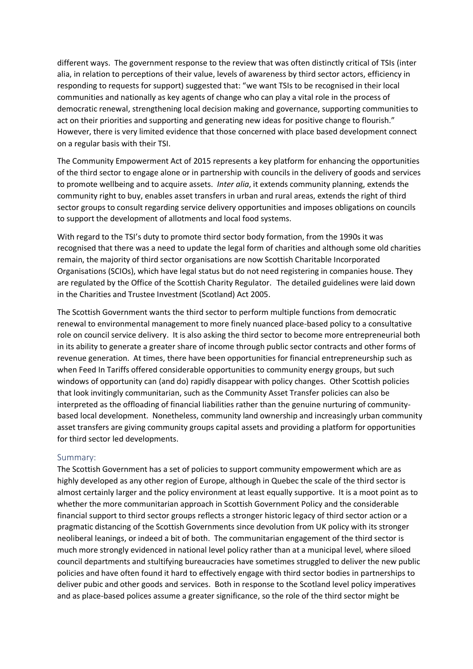different ways. The government response to the review that was often distinctly critical of TSIs (inter alia, in relation to perceptions of their value, levels of awareness by third sector actors, efficiency in responding to requests for support) suggested that: "we want TSIs to be recognised in their local communities and nationally as key agents of change who can play a vital role in the process of democratic renewal, strengthening local decision making and governance, supporting communities to act on their priorities and supporting and generating new ideas for positive change to flourish." However, there is very limited evidence that those concerned with place based development connect on a regular basis with their TSI.

The Community Empowerment Act of 2015 represents a key platform for enhancing the opportunities of the third sector to engage alone or in partnership with councils in the delivery of goods and services to promote wellbeing and to acquire assets. *Inter alia*, it extends community planning, extends the community right to buy, enables asset transfers in urban and rural areas, extends the right of third sector groups to consult regarding service delivery opportunities and imposes obligations on councils to support the development of allotments and local food systems.

With regard to the TSI's duty to promote third sector body formation, from the 1990s it was recognised that there was a need to update the legal form of charities and although some old charities remain, the majority of third sector organisations are now Scottish Charitable Incorporated Organisations (SCIOs), which have legal status but do not need registering in companies house. They are regulated by the Office of the Scottish Charity Regulator. The detailed guidelines were laid down in the Charities and Trustee Investment (Scotland) Act 2005.

The Scottish Government wants the third sector to perform multiple functions from democratic renewal to environmental management to more finely nuanced place-based policy to a consultative role on council service delivery. It is also asking the third sector to become more entrepreneurial both in its ability to generate a greater share of income through public sector contracts and other forms of revenue generation. At times, there have been opportunities for financial entrepreneurship such as when Feed In Tariffs offered considerable opportunities to community energy groups, but such windows of opportunity can (and do) rapidly disappear with policy changes. Other Scottish policies that look invitingly communitarian, such as the Community Asset Transfer policies can also be interpreted as the offloading of financial liabilities rather than the genuine nurturing of communitybased local development. Nonetheless, community land ownership and increasingly urban community asset transfers are giving community groups capital assets and providing a platform for opportunities for third sector led developments.

## Summary:

The Scottish Government has a set of policies to support community empowerment which are as highly developed as any other region of Europe, although in Quebec the scale of the third sector is almost certainly larger and the policy environment at least equally supportive. It is a moot point as to whether the more communitarian approach in Scottish Government Policy and the considerable financial support to third sector groups reflects a stronger historic legacy of third sector action or a pragmatic distancing of the Scottish Governments since devolution from UK policy with its stronger neoliberal leanings, or indeed a bit of both. The communitarian engagement of the third sector is much more strongly evidenced in national level policy rather than at a municipal level, where siloed council departments and stultifying bureaucracies have sometimes struggled to deliver the new public policies and have often found it hard to effectively engage with third sector bodies in partnerships to deliver pubic and other goods and services. Both in response to the Scotland level policy imperatives and as place-based polices assume a greater significance, so the role of the third sector might be